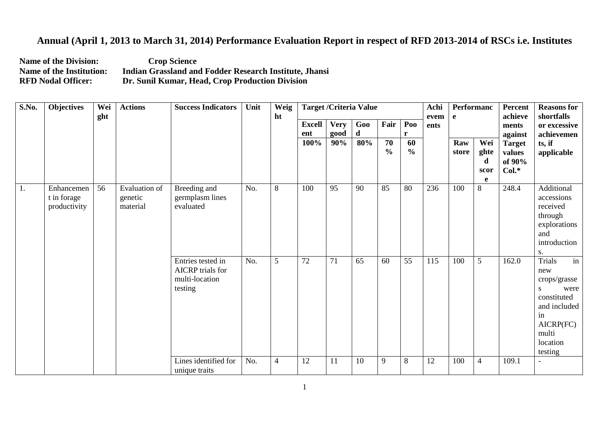## **Annual (April 1, 2013 to March 31, 2014) Performance Evaluation Report in respect of RFD 2013-2014 of RSCs i.e. Institutes**

**Name of the Division:** Crop Science<br> **Name of the Institution:** Indian Grassland an Name of the Institution: Indian Grassland and Fodder Research Institute, Jhansi<br>RFD Nodal Officer: Dr. Sunil Kumar, Head, Crop Production Division **Dr. Sunil Kumar, Head, Crop Production Division** 

| S.No. | <b>Objectives</b>                         | Wei<br>ght | <b>Actions</b>                       | <b>Success Indicators</b>                                                 | Unit | Weig<br>ht     | <b>Target / Criteria Value</b> |                     |          |                                  |                     | Achi<br>evem | Performanc<br>e |                               | Percent<br>achieve                           | <b>Reasons for</b><br>shortfalls                                                                                                           |
|-------|-------------------------------------------|------------|--------------------------------------|---------------------------------------------------------------------------|------|----------------|--------------------------------|---------------------|----------|----------------------------------|---------------------|--------------|-----------------|-------------------------------|----------------------------------------------|--------------------------------------------------------------------------------------------------------------------------------------------|
|       |                                           |            |                                      |                                                                           |      |                | <b>Excell</b><br>ent           | <b>Very</b><br>good | Goo<br>d | Fair                             | Poo<br>r            | ents         |                 |                               | ments<br>against                             | or excessive<br>achievemen                                                                                                                 |
|       |                                           |            |                                      |                                                                           |      |                | 100%                           | 90%                 | 80%      | $\overline{70}$<br>$\frac{0}{0}$ | 60<br>$\frac{6}{6}$ |              | Raw<br>store    | Wei<br>ghte<br>d<br>scor<br>e | <b>Target</b><br>values<br>of 90%<br>$Col.*$ | ts, if<br>applicable                                                                                                                       |
| 1.    | Enhancemen<br>t in forage<br>productivity | 56         | Evaluation of<br>genetic<br>material | Breeding and<br>germplasm lines<br>evaluated                              | No.  | 8              | 100                            | 95                  | 90       | 85                               | 80                  | 236          | 100             | 8                             | 248.4                                        | Additional<br>accessions<br>received<br>through<br>explorations<br>and<br>introduction<br>S.                                               |
|       |                                           |            |                                      | Entries tested in<br><b>AICRP</b> trials for<br>multi-location<br>testing | No.  | 5              | 72                             | 71                  | 65       | 60                               | 55                  | 115          | 100             | 5                             | 162.0                                        | <b>Trials</b><br>in<br>new<br>crops/grasse<br>were<br>S.<br>constituted<br>and included<br>in<br>AICRP(FC)<br>multi<br>location<br>testing |
|       |                                           |            |                                      | Lines identified for<br>unique traits                                     | No.  | $\overline{4}$ | 12                             | 11                  | 10       | 9                                | 8                   | 12           | 100             | 4                             | 109.1                                        |                                                                                                                                            |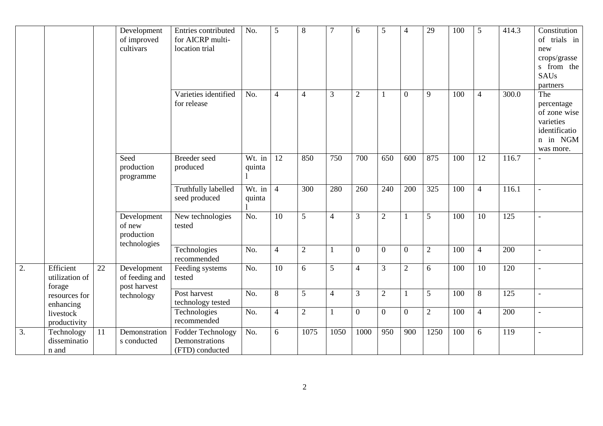|                  |                                             |                                               | Development<br>of improved<br>cultivars             | Entries contributed<br>for AICRP multi-<br>location trial     | No.                            | $\mathfrak{S}$ | 8              |                | 6              | 5              | 4              | 29         | 100 | 5              | 414.3 | Constitution<br>of trials in<br>new<br>crops/grasse<br>s from the<br><b>SAUs</b><br>partners |
|------------------|---------------------------------------------|-----------------------------------------------|-----------------------------------------------------|---------------------------------------------------------------|--------------------------------|----------------|----------------|----------------|----------------|----------------|----------------|------------|-----|----------------|-------|----------------------------------------------------------------------------------------------|
|                  |                                             |                                               |                                                     | Varieties identified<br>for release                           | No.                            | $\overline{4}$ | $\overline{4}$ | 3              | $\sqrt{2}$     |                | $\mathbf{0}$   | 9          | 100 | $\overline{4}$ | 300.0 | The<br>percentage<br>of zone wise<br>varieties<br>identificatio<br>n in NGM<br>was more.     |
|                  |                                             |                                               | Seed<br>production<br>programme                     | Breeder seed<br>produced                                      | $\overline{W}t$ . in<br>quinta | <sup>12</sup>  | 850            | 750            | 700            | 650            | 600            | 875        | 100 | 12             | 116.7 |                                                                                              |
|                  |                                             |                                               |                                                     | Truthfully labelled<br>seed produced                          | Wt. in<br>quinta               | $\overline{4}$ | 300            | 280            | 260            | 240            | 200            | 325        | 100 | $\overline{4}$ | 116.1 |                                                                                              |
|                  |                                             |                                               | Development<br>of new<br>production<br>technologies | New technologies<br>tested                                    | No.                            | 10             | 5              | $\overline{4}$ | 3              | $\overline{2}$ | $\mathbf{1}$   | 5          | 100 | 10             | 125   |                                                                                              |
|                  |                                             |                                               |                                                     | Technologies<br>recommended                                   | No.                            | $\overline{4}$ | $\sqrt{2}$     |                | $\overline{0}$ | $\overline{0}$ | $\mathbf{0}$   | $\sqrt{2}$ | 100 | $\overline{4}$ | 200   |                                                                                              |
| $\overline{2}$ . | Efficient<br>22<br>utilization of<br>forage | Development<br>of feeding and<br>post harvest | Feeding systems<br>tested                           | No.                                                           | $\overline{10}$                | 6              | 5              | $\overline{4}$ | 3              | $\overline{2}$ | 6              | 100        | 10  | 120            |       |                                                                                              |
|                  | resources for<br>enhancing                  |                                               | technology                                          | Post harvest<br>technology tested                             | No.                            | 8              | 5              | $\overline{4}$ | $\mathfrak{Z}$ | $\overline{2}$ | 1              | 5          | 100 | 8              | 125   |                                                                                              |
|                  | livestock<br>productivity                   |                                               |                                                     | Technologies<br>recommended                                   | No.                            | $\overline{4}$ | $\sqrt{2}$     |                | $\overline{0}$ | $\overline{0}$ | $\overline{0}$ | $\sqrt{2}$ | 100 | $\overline{4}$ | 200   |                                                                                              |
| 3.               | Technology<br>disseminatio<br>n and         | 11                                            | Demonstration<br>s conducted                        | <b>Fodder Technology</b><br>Demonstrations<br>(FTD) conducted | No.                            | 6              | 1075           | 1050           | 1000           | 950            | 900            | 1250       | 100 | 6              | 119   |                                                                                              |